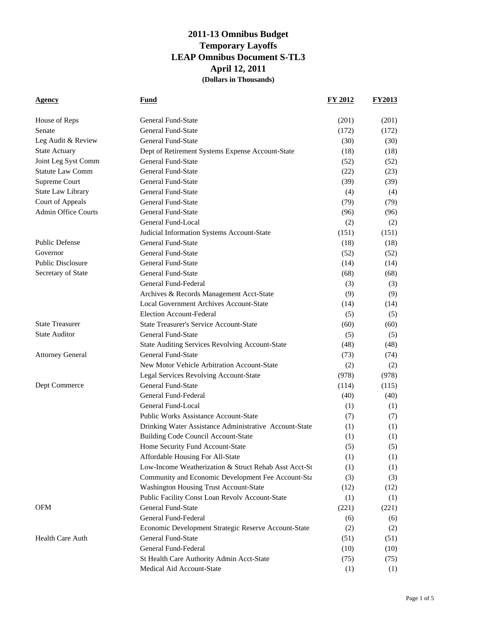| <b>Agency</b>              | <b>Fund</b>                                            | FY 2012 | <b>FY2013</b> |
|----------------------------|--------------------------------------------------------|---------|---------------|
|                            |                                                        |         |               |
| House of Reps              | <b>General Fund-State</b>                              | (201)   | (201)         |
| Senate                     | <b>General Fund-State</b>                              | (172)   | (172)         |
| Leg Audit & Review         | <b>General Fund-State</b>                              | (30)    | (30)          |
| <b>State Actuary</b>       | Dept of Retirement Systems Expense Account-State       | (18)    | (18)          |
| Joint Leg Syst Comm        | <b>General Fund-State</b>                              | (52)    | (52)          |
| <b>Statute Law Comm</b>    | <b>General Fund-State</b>                              | (22)    | (23)          |
| Supreme Court              | <b>General Fund-State</b>                              | (39)    | (39)          |
| <b>State Law Library</b>   | <b>General Fund-State</b>                              | (4)     | (4)           |
| Court of Appeals           | <b>General Fund-State</b>                              | (79)    | (79)          |
| <b>Admin Office Courts</b> | <b>General Fund-State</b>                              | (96)    | (96)          |
|                            | General Fund-Local                                     | (2)     | (2)           |
|                            | Judicial Information Systems Account-State             | (151)   | (151)         |
| <b>Public Defense</b>      | <b>General Fund-State</b>                              | (18)    | (18)          |
| Governor                   | <b>General Fund-State</b>                              | (52)    | (52)          |
| <b>Public Disclosure</b>   | <b>General Fund-State</b>                              | (14)    | (14)          |
| Secretary of State         | <b>General Fund-State</b>                              | (68)    | (68)          |
|                            | General Fund-Federal                                   | (3)     | (3)           |
|                            | Archives & Records Management Acct-State               | (9)     | (9)           |
|                            | <b>Local Government Archives Account-State</b>         | (14)    | (14)          |
|                            | <b>Election Account-Federal</b>                        | (5)     | (5)           |
| <b>State Treasurer</b>     | <b>State Treasurer's Service Account-State</b>         | (60)    | (60)          |
| <b>State Auditor</b>       | <b>General Fund-State</b>                              | (5)     | (5)           |
|                            | <b>State Auditing Services Revolving Account-State</b> | (48)    | (48)          |
| <b>Attorney General</b>    | <b>General Fund-State</b>                              | (73)    | (74)          |
|                            | New Motor Vehicle Arbitration Account-State            | (2)     | (2)           |
|                            | Legal Services Revolving Account-State                 | (978)   | (978)         |
| Dept Commerce              | General Fund-State                                     | (114)   | (115)         |
|                            | General Fund-Federal                                   | (40)    | (40)          |
|                            | General Fund-Local                                     | (1)     | (1)           |
|                            | <b>Public Works Assistance Account-State</b>           | (7)     | (7)           |
|                            | Drinking Water Assistance Administrative Account-State | (1)     | (1)           |
|                            | <b>Building Code Council Account-State</b>             | (1)     | (1)           |
|                            | Home Security Fund Account-State                       | (5)     | (5)           |
|                            | Affordable Housing For All-State                       | (1)     | (1)           |
|                            | Low-Income Weatherization & Struct Rehab Asst Acct-St  | (1)     | (1)           |
|                            | Community and Economic Development Fee Account-Sta     | (3)     | (3)           |
|                            | Washington Housing Trust Account-State                 | (12)    | (12)          |
|                            | Public Facility Const Loan Revolv Account-State        | (1)     | (1)           |
| <b>OFM</b>                 | General Fund-State                                     | (221)   | (221)         |
|                            | General Fund-Federal                                   | (6)     | (6)           |
|                            | Economic Development Strategic Reserve Account-State   | (2)     | (2)           |
| <b>Health Care Auth</b>    | <b>General Fund-State</b>                              | (51)    | (51)          |
|                            | General Fund-Federal                                   | (10)    | (10)          |
|                            | St Health Care Authority Admin Acct-State              | (75)    | (75)          |
|                            | Medical Aid Account-State                              | (1)     | (1)           |
|                            |                                                        |         |               |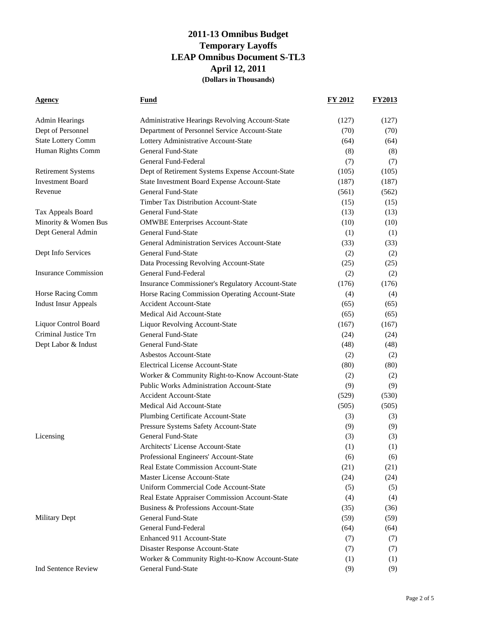| <b>Agency</b>               | <u>Fund</u>                                          | FY 2012 | <b>FY2013</b> |
|-----------------------------|------------------------------------------------------|---------|---------------|
| <b>Admin Hearings</b>       | Administrative Hearings Revolving Account-State      | (127)   | (127)         |
| Dept of Personnel           | Department of Personnel Service Account-State        | (70)    | (70)          |
| <b>State Lottery Comm</b>   | Lottery Administrative Account-State                 | (64)    | (64)          |
| Human Rights Comm           | <b>General Fund-State</b>                            | (8)     | (8)           |
|                             | General Fund-Federal                                 | (7)     | (7)           |
| <b>Retirement Systems</b>   | Dept of Retirement Systems Expense Account-State     | (105)   | (105)         |
| <b>Investment Board</b>     | State Investment Board Expense Account-State         | (187)   | (187)         |
| Revenue                     | <b>General Fund-State</b>                            | (561)   | (562)         |
|                             | <b>Timber Tax Distribution Account-State</b>         | (15)    | (15)          |
| Tax Appeals Board           | <b>General Fund-State</b>                            | (13)    | (13)          |
| Minority & Women Bus        | <b>OMWBE Enterprises Account-State</b>               | (10)    | (10)          |
| Dept General Admin          | <b>General Fund-State</b>                            | (1)     | (1)           |
|                             | <b>General Administration Services Account-State</b> | (33)    | (33)          |
| Dept Info Services          | <b>General Fund-State</b>                            | (2)     | (2)           |
|                             | Data Processing Revolving Account-State              | (25)    | (25)          |
| <b>Insurance Commission</b> | General Fund-Federal                                 | (2)     | (2)           |
|                             | Insurance Commissioner's Regulatory Account-State    | (176)   | (176)         |
| Horse Racing Comm           | Horse Racing Commission Operating Account-State      | (4)     | (4)           |
| <b>Indust Insur Appeals</b> | <b>Accident Account-State</b>                        | (65)    | (65)          |
|                             | Medical Aid Account-State                            | (65)    | (65)          |
| <b>Liquor Control Board</b> | <b>Liquor Revolving Account-State</b>                | (167)   | (167)         |
| Criminal Justice Trn        | General Fund-State                                   | (24)    | (24)          |
| Dept Labor & Indust         | <b>General Fund-State</b>                            | (48)    | (48)          |
|                             | <b>Asbestos Account-State</b>                        | (2)     | (2)           |
|                             | <b>Electrical License Account-State</b>              | (80)    | (80)          |
|                             | Worker & Community Right-to-Know Account-State       | (2)     | (2)           |
|                             | <b>Public Works Administration Account-State</b>     | (9)     | (9)           |
|                             | <b>Accident Account-State</b>                        | (529)   | (530)         |
|                             | Medical Aid Account-State                            | (505)   | (505)         |
|                             | Plumbing Certificate Account-State                   | (3)     | (3)           |
|                             | Pressure Systems Safety Account-State                | (9)     | (9)           |
| Licensing                   | General Fund-State                                   | (3)     | (3)           |
|                             | Architects' License Account-State                    | (1)     | (1)           |
|                             | Professional Engineers' Account-State                | (6)     | (6)           |
|                             | Real Estate Commission Account-State                 | (21)    | (21)          |
|                             | Master License Account-State                         | (24)    | (24)          |
|                             | Uniform Commercial Code Account-State                | (5)     | (5)           |
|                             | Real Estate Appraiser Commission Account-State       | (4)     | (4)           |
|                             | Business & Professions Account-State                 | (35)    | (36)          |
| <b>Military Dept</b>        | <b>General Fund-State</b>                            | (59)    | (59)          |
|                             | General Fund-Federal                                 | (64)    | (64)          |
|                             | Enhanced 911 Account-State                           | (7)     | (7)           |
|                             | Disaster Response Account-State                      | (7)     | (7)           |
|                             | Worker & Community Right-to-Know Account-State       | (1)     | (1)           |
| Ind Sentence Review         | General Fund-State                                   | (9)     | (9)           |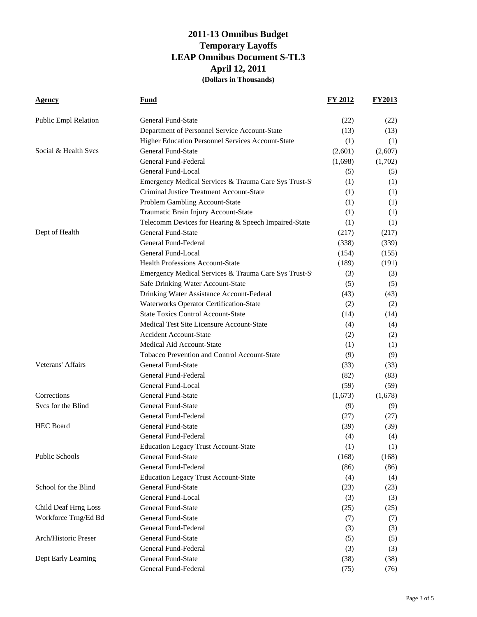| <b>Agency</b>               | <b>Fund</b>                                          | <b>FY 2012</b> | <b>FY2013</b> |
|-----------------------------|------------------------------------------------------|----------------|---------------|
| <b>Public Empl Relation</b> | General Fund-State                                   | (22)           | (22)          |
|                             | Department of Personnel Service Account-State        | (13)           | (13)          |
|                             | Higher Education Personnel Services Account-State    | (1)            | (1)           |
| Social & Health Svcs        | <b>General Fund-State</b>                            | (2,601)        | (2,607)       |
|                             | General Fund-Federal                                 | (1,698)        | (1,702)       |
|                             | General Fund-Local                                   | (5)            | (5)           |
|                             | Emergency Medical Services & Trauma Care Sys Trust-S | (1)            | (1)           |
|                             | Criminal Justice Treatment Account-State             | (1)            | (1)           |
|                             | Problem Gambling Account-State                       | (1)            | (1)           |
|                             | Traumatic Brain Injury Account-State                 | (1)            | (1)           |
|                             | Telecomm Devices for Hearing & Speech Impaired-State | (1)            | (1)           |
| Dept of Health              | <b>General Fund-State</b>                            | (217)          | (217)         |
|                             | General Fund-Federal                                 | (338)          | (339)         |
|                             | General Fund-Local                                   | (154)          | (155)         |
|                             | <b>Health Professions Account-State</b>              | (189)          | (191)         |
|                             | Emergency Medical Services & Trauma Care Sys Trust-S | (3)            | (3)           |
|                             | Safe Drinking Water Account-State                    | (5)            | (5)           |
|                             | Drinking Water Assistance Account-Federal            | (43)           | (43)          |
|                             | <b>Waterworks Operator Certification-State</b>       | (2)            | (2)           |
|                             | <b>State Toxics Control Account-State</b>            | (14)           | (14)          |
|                             | Medical Test Site Licensure Account-State            | (4)            | (4)           |
|                             | <b>Accident Account-State</b>                        | (2)            | (2)           |
|                             | Medical Aid Account-State                            | (1)            | (1)           |
|                             | Tobacco Prevention and Control Account-State         | (9)            | (9)           |
| Veterans' Affairs           | <b>General Fund-State</b>                            | (33)           | (33)          |
|                             | General Fund-Federal                                 | (82)           | (83)          |
|                             | General Fund-Local                                   | (59)           | (59)          |
| Corrections                 | <b>General Fund-State</b>                            | (1,673)        | (1,678)       |
| Svcs for the Blind          | <b>General Fund-State</b>                            | (9)            | (9)           |
|                             | General Fund-Federal                                 | (27)           | (27)          |
| <b>HEC</b> Board            | <b>General Fund-State</b>                            | (39)           | (39)          |
|                             | General Fund-Federal                                 | (4)            | (4)           |
|                             | <b>Education Legacy Trust Account-State</b>          | (1)            | (1)           |
| Public Schools              | General Fund-State                                   | (168)          | (168)         |
|                             | General Fund-Federal                                 | (86)           | (86)          |
|                             | <b>Education Legacy Trust Account-State</b>          | (4)            | (4)           |
| School for the Blind        | General Fund-State                                   | (23)           | (23)          |
|                             | General Fund-Local                                   | (3)            | (3)           |
| <b>Child Deaf Hrng Loss</b> | <b>General Fund-State</b>                            | (25)           | (25)          |
| Workforce Trng/Ed Bd        | General Fund-State                                   | (7)            | (7)           |
|                             | General Fund-Federal                                 | (3)            | (3)           |
| Arch/Historic Preser        | General Fund-State                                   | (5)            | (5)           |
|                             | General Fund-Federal                                 | (3)            | (3)           |
| Dept Early Learning         | General Fund-State                                   | (38)           | (38)          |
|                             | General Fund-Federal                                 | (75)           | (76)          |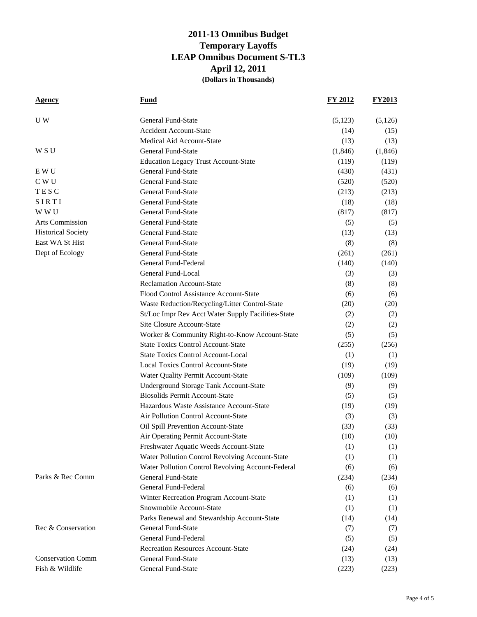| <b>Agency</b>             | <b>Fund</b>                                        | FY 2012  | <b>FY2013</b> |
|---------------------------|----------------------------------------------------|----------|---------------|
| U W                       | General Fund-State                                 | (5,123)  | (5,126)       |
|                           | <b>Accident Account-State</b>                      | (14)     | (15)          |
|                           | Medical Aid Account-State                          | (13)     | (13)          |
| W S U                     | <b>General Fund-State</b>                          | (1, 846) | (1, 846)      |
|                           | <b>Education Legacy Trust Account-State</b>        | (119)    | (119)         |
| E W U                     | <b>General Fund-State</b>                          | (430)    | (431)         |
| C W U                     | <b>General Fund-State</b>                          | (520)    | (520)         |
| TESC                      | <b>General Fund-State</b>                          | (213)    | (213)         |
| SIRTI                     | <b>General Fund-State</b>                          | (18)     | (18)          |
| W W U                     | General Fund-State                                 | (817)    | (817)         |
| <b>Arts Commission</b>    | <b>General Fund-State</b>                          | (5)      | (5)           |
| <b>Historical Society</b> | General Fund-State                                 | (13)     | (13)          |
| East WA St Hist           | <b>General Fund-State</b>                          | (8)      | (8)           |
| Dept of Ecology           | General Fund-State                                 | (261)    | (261)         |
|                           | General Fund-Federal                               | (140)    | (140)         |
|                           | General Fund-Local                                 | (3)      | (3)           |
|                           | <b>Reclamation Account-State</b>                   | (8)      | (8)           |
|                           | Flood Control Assistance Account-State             | (6)      | (6)           |
|                           | Waste Reduction/Recycling/Litter Control-State     | (20)     | (20)          |
|                           | St/Loc Impr Rev Acct Water Supply Facilities-State | (2)      | (2)           |
|                           | Site Closure Account-State                         | (2)      | (2)           |
|                           | Worker & Community Right-to-Know Account-State     | (5)      | (5)           |
|                           | <b>State Toxics Control Account-State</b>          | (255)    | (256)         |
|                           | <b>State Toxics Control Account-Local</b>          | (1)      | (1)           |
|                           | <b>Local Toxics Control Account-State</b>          | (19)     | (19)          |
|                           | Water Quality Permit Account-State                 | (109)    | (109)         |
|                           | Underground Storage Tank Account-State             | (9)      | (9)           |
|                           | <b>Biosolids Permit Account-State</b>              | (5)      | (5)           |
|                           | Hazardous Waste Assistance Account-State           | (19)     | (19)          |
|                           | Air Pollution Control Account-State                | (3)      | (3)           |
|                           | Oil Spill Prevention Account-State                 | (33)     | (33)          |
|                           | Air Operating Permit Account-State                 | (10)     | (10)          |
|                           | Freshwater Aquatic Weeds Account-State             | (1)      | (1)           |
|                           | Water Pollution Control Revolving Account-State    | (1)      | (1)           |
|                           | Water Pollution Control Revolving Account-Federal  | (6)      | (6)           |
| Parks & Rec Comm          | General Fund-State                                 | (234)    | (234)         |
|                           | General Fund-Federal                               | (6)      | (6)           |
|                           | Winter Recreation Program Account-State            | (1)      | (1)           |
|                           | Snowmobile Account-State                           | (1)      | (1)           |
|                           | Parks Renewal and Stewardship Account-State        | (14)     | (14)          |
| Rec & Conservation        | <b>General Fund-State</b>                          | (7)      | (7)           |
|                           | General Fund-Federal                               | (5)      | (5)           |
|                           | <b>Recreation Resources Account-State</b>          | (24)     | (24)          |
| <b>Conservation Comm</b>  | <b>General Fund-State</b>                          | (13)     | (13)          |
| Fish & Wildlife           | General Fund-State                                 | (223)    | (223)         |